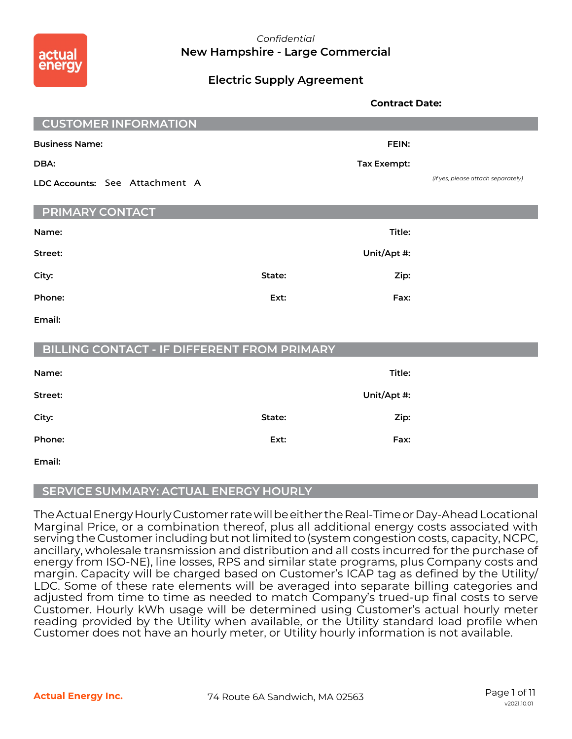

## *Confidential* **New Hampshire - Large Commercial**

## **Electric Supply Agreement**

|                                                    |        | <b>Contract Date:</b> |                                    |
|----------------------------------------------------|--------|-----------------------|------------------------------------|
| <b>CUSTOMER INFORMATION</b>                        |        |                       |                                    |
| <b>Business Name:</b>                              |        | FEIN:                 |                                    |
| DBA:                                               |        | <b>Tax Exempt:</b>    |                                    |
| LDC Accounts: See Attachment A                     |        |                       | (If yes, please attach separately) |
| <b>PRIMARY CONTACT</b>                             |        |                       |                                    |
| Name:                                              |        | Title:                |                                    |
| Street:                                            |        | Unit/Apt #:           |                                    |
| City:                                              | State: | Zip:                  |                                    |
| Phone:                                             | Ext:   | Fax:                  |                                    |
| Email:                                             |        |                       |                                    |
| <b>BILLING CONTACT - IF DIFFERENT FROM PRIMARY</b> |        |                       |                                    |
| Name:                                              |        | Title:                |                                    |
| Street:                                            |        | Unit/Apt #:           |                                    |
| City:                                              | State: | Zip:                  |                                    |
| Phone:                                             | Ext:   | Fax:                  |                                    |
| Email:                                             |        |                       |                                    |

### **SERVICE SUMMARY: ACTUAL ENERGY HOURLY**

The Actual Energy Hourly Customer rate will be either the Real-Time or Day-Ahead Locational Marginal Price, or a combination thereof, plus all additional energy costs associated with serving the Customer including but not limited to (system congestion costs, capacity, NCPC, ancillary, wholesale transmission and distribution and all costs incurred for the purchase of energy from ISO-NE), line losses, RPS and similar state programs, plus Company costs and margin. Capacity will be charged based on Customer's ICAP tag as defined by the Utility/ LDC. Some of these rate elements will be averaged into separate billing categories and adjusted from time to time as needed to match Company's trued-up final costs to serve Customer. Hourly kWh usage will be determined using Customer's actual hourly meter reading provided by the Utility when available, or the Utility standard load profile when Customer does not have an hourly meter, or Utility hourly information is not available.